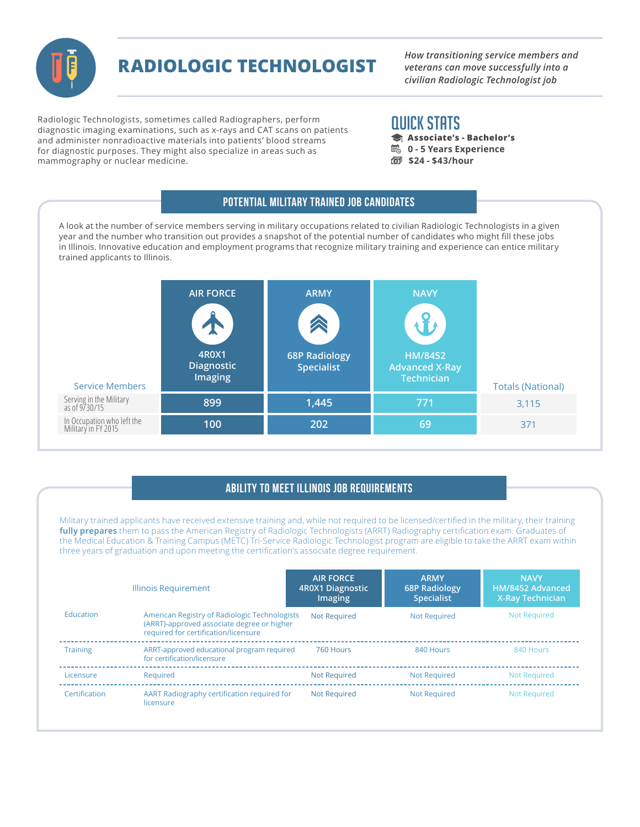

# **RADIOLOGIC TECHNOLOGIST**

*How transitioning service members and veterans can move successfully into a civilian Radiologic Technologist job* 

Radiologic Technologists, sometimes called Radiographers, perform diagnostic imaging examinations, such as x-rays and CAT scans on patients and administer nonradioactive materials into patients' blood streams for diagnostic purposes. They might also specialize in areas such as mammography or nuclear medicine.

## QUICK STATS

- **Associate's Bachelor's**
- **B** 0 5 Years Experience
- **\$24 \$43/hour**

#### Potential Military Trained Job Candidates

A look at the number of service members serving in military occupations related to civilian Radiologic Technologists in a given year and the number who transition out provides a snapshot of the potential number of candidates who might fill these jobs in Illinois. Innovative education and employment programs that recognize military training and experience can entice military trained applicants to Illinois.

| <b>Service Members</b>                            | <b>AIR FORCE</b><br>۵<br>4R0X1<br><b>Diagnostic</b><br><b>Imaging</b> | <b>ARMY</b><br><b>68P Radiology</b><br><b>Specialist</b> | <b>NAVY</b><br>HM/8452<br><b>Advanced X-Ray</b><br>Technician | <b>Totals (National)</b> |
|---------------------------------------------------|-----------------------------------------------------------------------|----------------------------------------------------------|---------------------------------------------------------------|--------------------------|
| Serving in the Military<br>as of 9/30/15          | 899                                                                   | 1,445                                                    | 771                                                           | 3,115                    |
| In Occupation who left the<br>Military in FY 2015 | 100                                                                   | 202                                                      | 69                                                            | 371                      |

### Ability to Meet Illinois Job Requirements

Military trained applicants have received extensive training and, while not required to be licensed/certified in the military, their training **fully prepares** them to pass the American Registry of Radiologic Technologists (ARRT) Radiography certification exam. Graduates of the Medical Education & Training Campus (METC) Tri-Service Radiologic Technologist program are eligible to take the ARRT exam within three years of graduation and upon meeting the certification's associate degree requirement.

|                 | Illinois Requirement                                                                                                                | <b>AIR FORCE</b><br>4R0X1 Diagnostic<br>Imaging | <b>ARMY</b><br><b>68P Radiology</b><br><b>Specialist</b> | <b>NAVY</b><br>HM/8452 Advanced<br><b>X-Ray Technician</b> |
|-----------------|-------------------------------------------------------------------------------------------------------------------------------------|-------------------------------------------------|----------------------------------------------------------|------------------------------------------------------------|
| Education       | American Registry of Radiologic Technologists<br>(ARRT)-approved associate degree or higher<br>required for certification/licensure | <b>Not Required</b>                             | <b>Not Required</b>                                      | <b>Not Required</b>                                        |
| <b>Training</b> | ARRT-approved educational program required<br>for certification/licensure                                                           | 760 Hours                                       | 840 Hours                                                | 840 Hours                                                  |
| Licensure       | Required                                                                                                                            | <b>Not Required</b>                             | <b>Not Required</b>                                      | <b>Not Required</b>                                        |
| Certification   | AART Radiography certification required for<br>licensure                                                                            | <b>Not Required</b>                             | <b>Not Required</b>                                      | <b>Not Required</b>                                        |